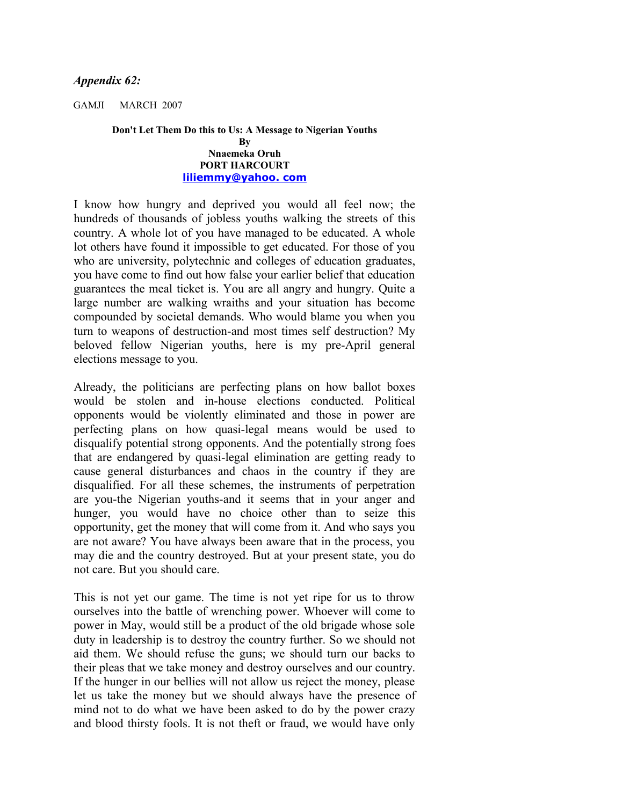## *Appendix 62:*

GAMJI MARCH 2007

**Don't Let Them Do this to Us: A Message to Nigerian Youths By Nnaemeka Oruh PORT HARCOURT [liliemmy@yahoo. com](mailto:liliemmy@yahoo.com)**

I know how hungry and deprived you would all feel now; the hundreds of thousands of jobless youths walking the streets of this country. A whole lot of you have managed to be educated. A whole lot others have found it impossible to get educated. For those of you who are university, polytechnic and colleges of education graduates, you have come to find out how false your earlier belief that education guarantees the meal ticket is. You are all angry and hungry. Quite a large number are walking wraiths and your situation has become compounded by societal demands. Who would blame you when you turn to weapons of destruction-and most times self destruction? My beloved fellow Nigerian youths, here is my pre-April general elections message to you.

Already, the politicians are perfecting plans on how ballot boxes would be stolen and in-house elections conducted. Political opponents would be violently eliminated and those in power are perfecting plans on how quasi-legal means would be used to disqualify potential strong opponents. And the potentially strong foes that are endangered by quasi-legal elimination are getting ready to cause general disturbances and chaos in the country if they are disqualified. For all these schemes, the instruments of perpetration are you-the Nigerian youths-and it seems that in your anger and hunger, you would have no choice other than to seize this opportunity, get the money that will come from it. And who says you are not aware? You have always been aware that in the process, you may die and the country destroyed. But at your present state, you do not care. But you should care.

This is not yet our game. The time is not yet ripe for us to throw ourselves into the battle of wrenching power. Whoever will come to power in May, would still be a product of the old brigade whose sole duty in leadership is to destroy the country further. So we should not aid them. We should refuse the guns; we should turn our backs to their pleas that we take money and destroy ourselves and our country. If the hunger in our bellies will not allow us reject the money, please let us take the money but we should always have the presence of mind not to do what we have been asked to do by the power crazy and blood thirsty fools. It is not theft or fraud, we would have only